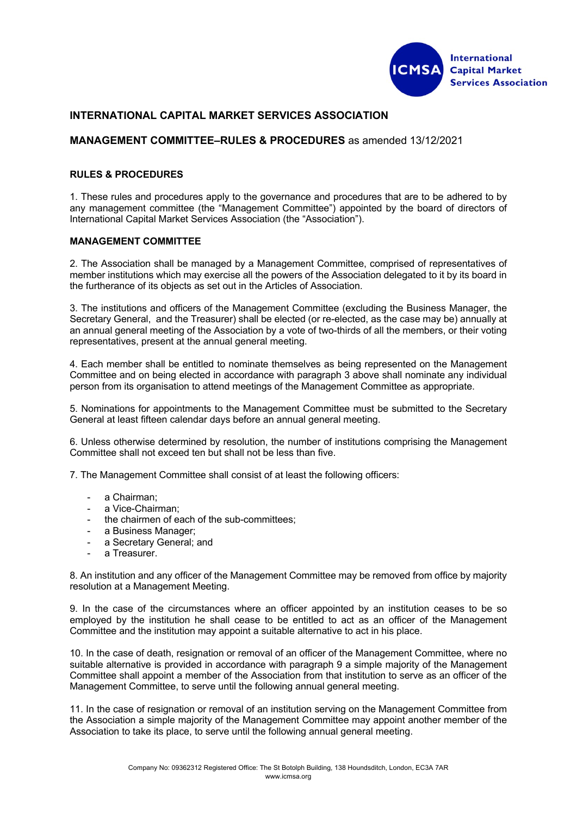

# **INTERNATIONAL CAPITAL MARKET SERVICES ASSOCIATION**

# **MANAGEMENT COMMITTEE–RULES & PROCEDURES** as amended 13/12/2021

#### **RULES & PROCEDURES**

1. These rules and procedures apply to the governance and procedures that are to be adhered to by any management committee (the "Management Committee") appointed by the board of directors of International Capital Market Services Association (the "Association").

### **MANAGEMENT COMMITTEE**

2. The Association shall be managed by a Management Committee, comprised of representatives of member institutions which may exercise all the powers of the Association delegated to it by its board in the furtherance of its objects as set out in the Articles of Association.

3. The institutions and officers of the Management Committee (excluding the Business Manager, the Secretary General, and the Treasurer) shall be elected (or re-elected, as the case may be) annually at an annual general meeting of the Association by a vote of two-thirds of all the members, or their voting representatives, present at the annual general meeting.

4. Each member shall be entitled to nominate themselves as being represented on the Management Committee and on being elected in accordance with paragraph 3 above shall nominate any individual person from its organisation to attend meetings of the Management Committee as appropriate.

5. Nominations for appointments to the Management Committee must be submitted to the Secretary General at least fifteen calendar days before an annual general meeting.

6. Unless otherwise determined by resolution, the number of institutions comprising the Management Committee shall not exceed ten but shall not be less than five.

7. The Management Committee shall consist of at least the following officers:

- a Chairman:
- a Vice-Chairman;
- the chairmen of each of the sub-committees;
- a Business Manager;
- a Secretary General; and
- a Treasurer.

8. An institution and any officer of the Management Committee may be removed from office by majority resolution at a Management Meeting.

9. In the case of the circumstances where an officer appointed by an institution ceases to be so employed by the institution he shall cease to be entitled to act as an officer of the Management Committee and the institution may appoint a suitable alternative to act in his place.

10. In the case of death, resignation or removal of an officer of the Management Committee, where no suitable alternative is provided in accordance with paragraph 9 a simple majority of the Management Committee shall appoint a member of the Association from that institution to serve as an officer of the Management Committee, to serve until the following annual general meeting.

11. In the case of resignation or removal of an institution serving on the Management Committee from the Association a simple majority of the Management Committee may appoint another member of the Association to take its place, to serve until the following annual general meeting.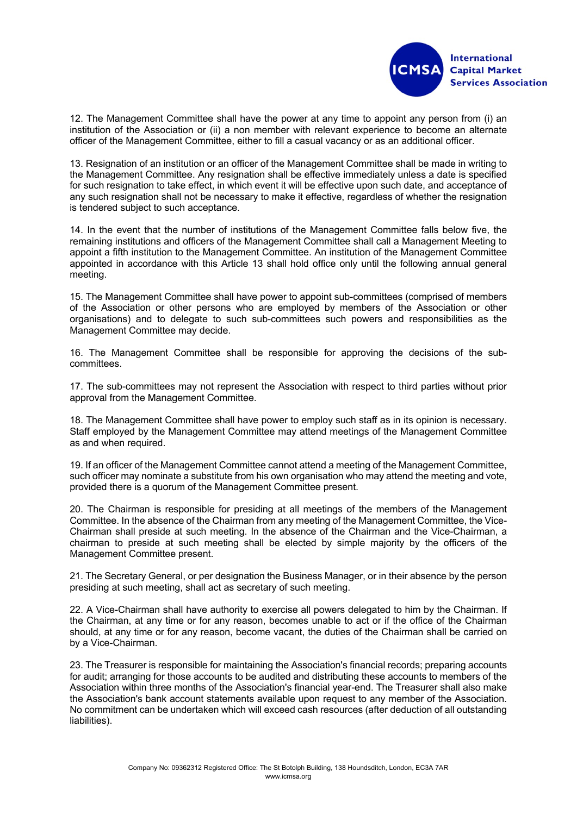

12. The Management Committee shall have the power at any time to appoint any person from (i) an institution of the Association or (ii) a non member with relevant experience to become an alternate officer of the Management Committee, either to fill a casual vacancy or as an additional officer.

13. Resignation of an institution or an officer of the Management Committee shall be made in writing to the Management Committee. Any resignation shall be effective immediately unless a date is specified for such resignation to take effect, in which event it will be effective upon such date, and acceptance of any such resignation shall not be necessary to make it effective, regardless of whether the resignation is tendered subject to such acceptance.

14. In the event that the number of institutions of the Management Committee falls below five, the remaining institutions and officers of the Management Committee shall call a Management Meeting to appoint a fifth institution to the Management Committee. An institution of the Management Committee appointed in accordance with this Article 13 shall hold office only until the following annual general meeting.

15. The Management Committee shall have power to appoint sub-committees (comprised of members of the Association or other persons who are employed by members of the Association or other organisations) and to delegate to such sub-committees such powers and responsibilities as the Management Committee may decide.

16. The Management Committee shall be responsible for approving the decisions of the subcommittees.

17. The sub-committees may not represent the Association with respect to third parties without prior approval from the Management Committee.

18. The Management Committee shall have power to employ such staff as in its opinion is necessary. Staff employed by the Management Committee may attend meetings of the Management Committee as and when required.

19. If an officer of the Management Committee cannot attend a meeting of the Management Committee, such officer may nominate a substitute from his own organisation who may attend the meeting and vote, provided there is a quorum of the Management Committee present.

20. The Chairman is responsible for presiding at all meetings of the members of the Management Committee. In the absence of the Chairman from any meeting of the Management Committee, the Vice-Chairman shall preside at such meeting. In the absence of the Chairman and the Vice-Chairman, a chairman to preside at such meeting shall be elected by simple majority by the officers of the Management Committee present.

21. The Secretary General, or per designation the Business Manager, or in their absence by the person presiding at such meeting, shall act as secretary of such meeting.

22. A Vice-Chairman shall have authority to exercise all powers delegated to him by the Chairman. If the Chairman, at any time or for any reason, becomes unable to act or if the office of the Chairman should, at any time or for any reason, become vacant, the duties of the Chairman shall be carried on by a Vice-Chairman.

23. The Treasurer is responsible for maintaining the Association's financial records; preparing accounts for audit; arranging for those accounts to be audited and distributing these accounts to members of the Association within three months of the Association's financial year-end. The Treasurer shall also make the Association's bank account statements available upon request to any member of the Association. No commitment can be undertaken which will exceed cash resources (after deduction of all outstanding liabilities).